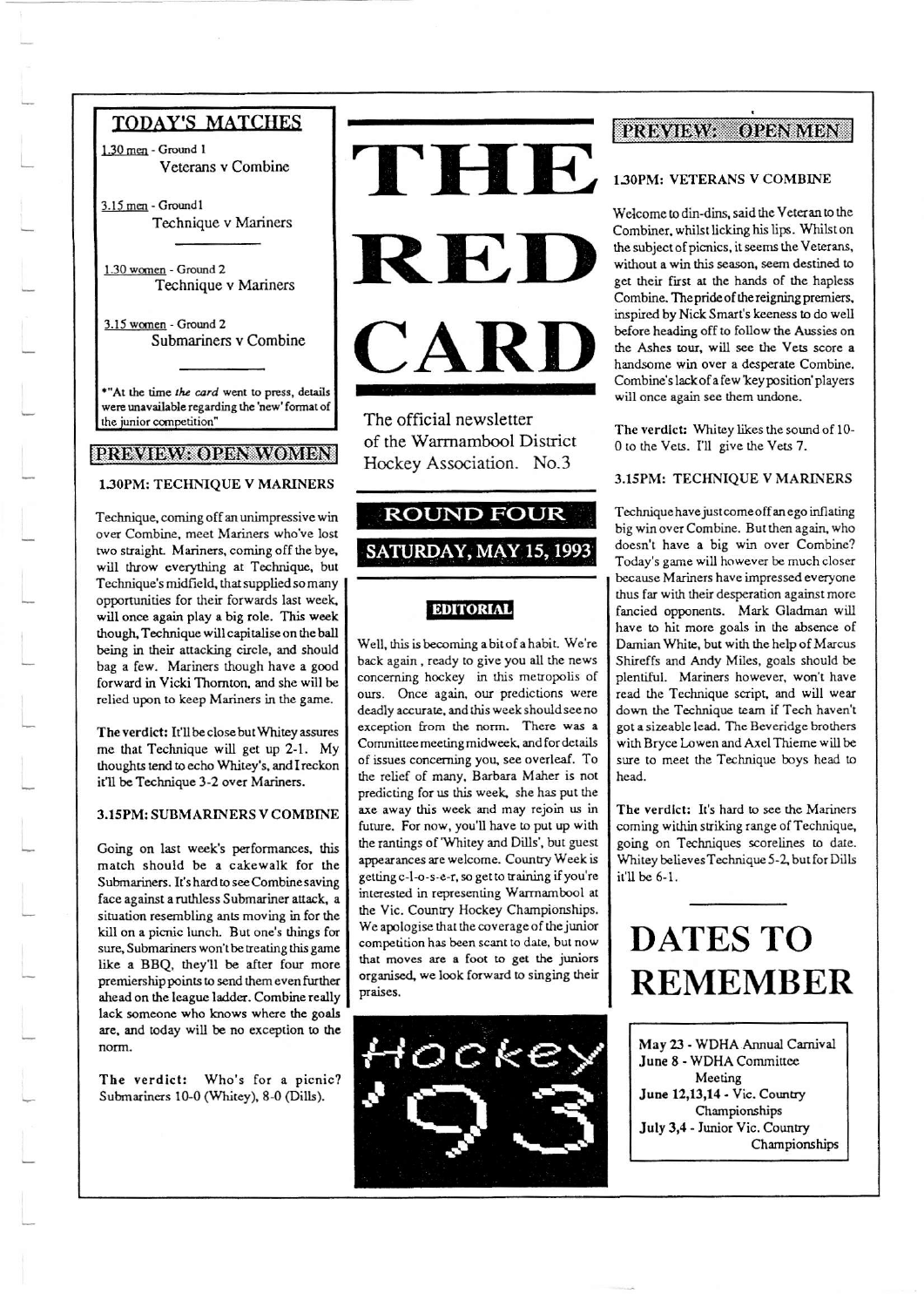## **TODAY'S MATCHES**

1.30 men - Ground 1 Veterans v Combine

3.15 men - Ground1 Technique v Mariners

1.30 women - Ground 2 Technique v Mariners

3.15 women - Ground 2 Submariners v Combine

\*"At the time the card went to press, details were unavailable regarding the 'new' format of the junior competition"

## PREVIEW: OPEN WOMEN

#### 1.30PM: TECHNIQUE V MARINERS

Technique, coming off an unimpressive win over Combine, meet Mariners who've lost two straight. Mariners, coming off the bye, will throw everything at Technique, but Technique's midfield, that supplied so many opportunities for their forwards last week, will once again play a big role. This week though, Technique will capitalise on the ball being in their attacking circle, and should bag a few. Mariners though have a good forward in Vicki Thornton, and she will be relied upon to keep Mariners in the game.

The verdict: It'll be close but Whitey assures me that Technique will get up 2-1. My thoughts tend to echo Whitey's, and I reckon it'll be Technique 3-2 over Mariners.

#### 3.15PM: SUBMARINERS V COMBINE

Going on last week's performances, this match should be a cakewalk for the Submariners. It's hard to see Combine saving face against a ruthless Submariner attack, a situation resembling ants moving in for the kill on a picnic lunch. But one's things for sure, Submariners won't be treating this game like a BBQ, they'll be after four more premiership points to send them even further ahead on the league ladder. Combine really lack someone who knows where the goals are, and today will be no exception to the norm.

The verdict: Who's for a picnic? Submariners 10-0 (Whitey), 8-0 (Dills).



The official newsletter of the Warrnambool District Hockey Association. No.3

## **ROUND FOUR** SATURDAY, MAY 15, 1993

## **EDITORIAL**

Well, this is becoming a bit of a habit. We're back again, ready to give you all the news concerning hockey in this metropolis of ours. Once again, our predictions were deadly accurate, and this week should see no exception from the norm. There was a Committee meeting midweek, and for details of issues concerning you, see overleaf. To the relief of many, Barbara Maher is not predicting for us this week, she has put the axe away this week and may rejoin us in future. For now, you'll have to put up with the rantings of 'Whitey and Dills', but guest appearances are welcome. Country Week is getting c-l-o-s-e-r, so get to training if you're interested in representing Warrnambool at the Vic. Country Hockey Championships. We apologise that the coverage of the junior competition has been scant to date, but now that moves are a foot to get the juniors organised, we look forward to singing their praises.



#### **PROVIDAY** OPEN MEN

#### 1.30PM: VETERANS V COMBINE

Welcome to din-dins, said the Veteran to the Combiner, whilst licking his lips. Whilst on the subject of picnics, it seems the Veterans, without a win this season, seem destined to get their first at the hands of the hapless Combine. The pride of the reigning premiers, inspired by Nick Smart's keeness to do well before heading off to follow the Aussies on the Ashes tour, will see the Vets score a handsome win over a desperate Combine. Combine's lack of a few 'key position' players will once again see them undone.

The verdict: Whitey likes the sound of 10-0 to the Vets. I'll give the Vets 7.

#### 3.15PM: TECHNIQUE V MARINERS

Technique have just come off an ego inflating big win over Combine. But then again, who doesn't have a big win over Combine? Today's game will however be much closer because Mariners have impressed everyone thus far with their desperation against more fancied opponents. Mark Gladman will have to hit more goals in the absence of Damian White, but with the help of Marcus Shireffs and Andy Miles, goals should be plentiful. Mariners however, won't have read the Technique script, and will wear down the Technique team if Tech haven't got a sizeable lead. The Beveridge brothers with Bryce Lowen and Axel Thieme will be sure to meet the Technique boys head to head.

The verdict: It's hard to see the Mariners coming within striking range of Technique, going on Techniques scorelines to date. Whitey believes Technique 5-2, but for Dills it'll be 6-1.

# **DATES TO REMEMBER**

May 23 - WDHA Annual Carnival June 8 - WDHA Committee Meeting June 12,13,14 - Vic. Country Championships July 3,4 - Junior Vic. Country Championships